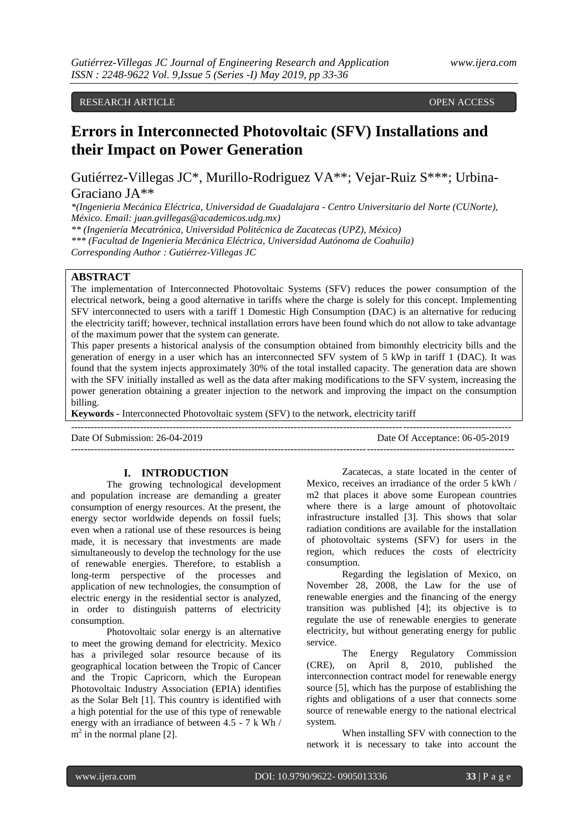## RESEARCH ARTICLE **CONSERVERS** OPEN ACCESS OPEN ACCESS

# **Errors in Interconnected Photovoltaic (SFV) Installations and their Impact on Power Generation**

Gutiérrez-Villegas JC\*, Murillo-Rodriguez VA\*\*; Vejar-Ruiz S\*\*\*; Urbina-Graciano JA\*\*

*\*(Ingenieria Mecánica Eléctrica, Universidad de Guadalajara - Centro Universitario del Norte (CUNorte), México. Email: juan.gvillegas@academicos.udg.mx)*

*\*\* (Ingeniería Mecatrónica, Universidad Politécnica de Zacatecas (UPZ), México)*

*\*\*\* (Facultad de Ingeniería Mecánica Eléctrica, Universidad Autónoma de Coahuila)*

*Corresponding Author : Gutiérrez-Villegas JC*

### **ABSTRACT**

The implementation of Interconnected Photovoltaic Systems (SFV) reduces the power consumption of the electrical network, being a good alternative in tariffs where the charge is solely for this concept. Implementing SFV interconnected to users with a tariff 1 Domestic High Consumption (DAC) is an alternative for reducing the electricity tariff; however, technical installation errors have been found which do not allow to take advantage of the maximum power that the system can generate.

This paper presents a historical analysis of the consumption obtained from bimonthly electricity bills and the generation of energy in a user which has an interconnected SFV system of 5 kWp in tariff 1 (DAC). It was found that the system injects approximately 30% of the total installed capacity. The generation data are shown with the SFV initially installed as well as the data after making modifications to the SFV system, increasing the power generation obtaining a greater injection to the network and improving the impact on the consumption billing.

--------------------------------------------------------------------------------------------------------------------------------------

---------------------------------------------------------------------------------------------------------------------------------------

**Keywords -** Interconnected Photovoltaic system (SFV) to the network, electricity tariff

Date Of Submission: 26-04-2019 Date Of Acceptance: 06-05-2019

#### **I. INTRODUCTION**

The growing technological development and population increase are demanding a greater consumption of energy resources. At the present, the energy sector worldwide depends on fossil fuels; even when a rational use of these resources is being made, it is necessary that investments are made simultaneously to develop the technology for the use of renewable energies. Therefore, to establish a long-term perspective of the processes and application of new technologies, the consumption of electric energy in the residential sector is analyzed, in order to distinguish patterns of electricity consumption.

Photovoltaic solar energy is an alternative to meet the growing demand for electricity. Mexico has a privileged solar resource because of its geographical location between the Tropic of Cancer and the Tropic Capricorn, which the European Photovoltaic Industry Association (EPIA) identifies as the Solar Belt [1]. This country is identified with a high potential for the use of this type of renewable energy with an irradiance of between 4.5 - 7 k Wh /  $m<sup>2</sup>$  in the normal plane [2].

Zacatecas, a state located in the center of Mexico, receives an irradiance of the order 5 kWh / m2 that places it above some European countries where there is a large amount of photovoltaic infrastructure installed [3]. This shows that solar radiation conditions are available for the installation of photovoltaic systems (SFV) for users in the region, which reduces the costs of electricity consumption.

Regarding the legislation of Mexico, on November 28, 2008, the Law for the use of renewable energies and the financing of the energy transition was published [4]; its objective is to regulate the use of renewable energies to generate electricity, but without generating energy for public service.

The Energy Regulatory Commission (CRE), on April 8, 2010, published the interconnection contract model for renewable energy source [5], which has the purpose of establishing the rights and obligations of a user that connects some source of renewable energy to the national electrical system.

When installing SFV with connection to the network it is necessary to take into account the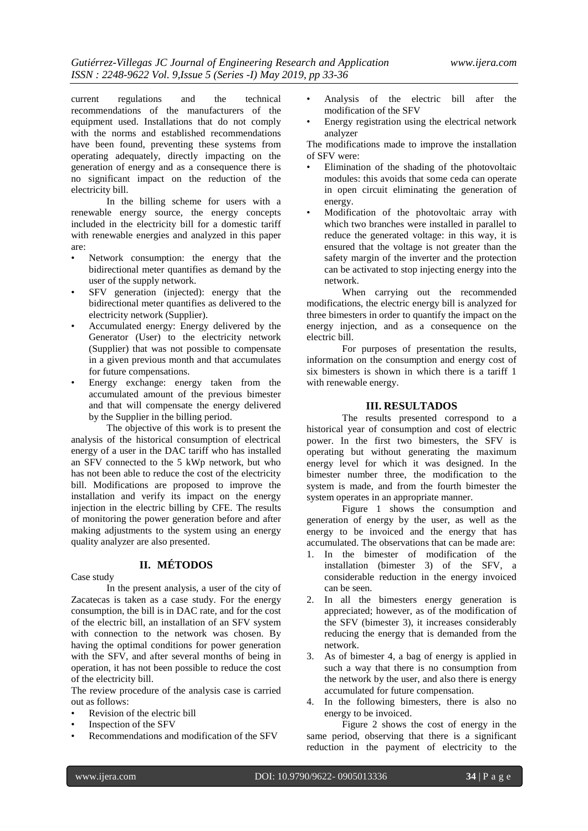current regulations and the technical recommendations of the manufacturers of the equipment used. Installations that do not comply with the norms and established recommendations have been found, preventing these systems from operating adequately, directly impacting on the generation of energy and as a consequence there is no significant impact on the reduction of the electricity bill.

In the billing scheme for users with a renewable energy source, the energy concepts included in the electricity bill for a domestic tariff with renewable energies and analyzed in this paper are:

- Network consumption: the energy that the bidirectional meter quantifies as demand by the user of the supply network.
- SFV generation (injected): energy that the bidirectional meter quantifies as delivered to the electricity network (Supplier).
- Accumulated energy: Energy delivered by the Generator (User) to the electricity network (Supplier) that was not possible to compensate in a given previous month and that accumulates for future compensations.
- Energy exchange: energy taken from the accumulated amount of the previous bimester and that will compensate the energy delivered by the Supplier in the billing period.

The objective of this work is to present the analysis of the historical consumption of electrical energy of a user in the DAC tariff who has installed an SFV connected to the 5 kWp network, but who has not been able to reduce the cost of the electricity bill. Modifications are proposed to improve the installation and verify its impact on the energy injection in the electric billing by CFE. The results of monitoring the power generation before and after making adjustments to the system using an energy quality analyzer are also presented.

**II. MÉTODOS**

Case study

In the present analysis, a user of the city of Zacatecas is taken as a case study. For the energy consumption, the bill is in DAC rate, and for the cost of the electric bill, an installation of an SFV system with connection to the network was chosen. By having the optimal conditions for power generation with the SFV, and after several months of being in operation, it has not been possible to reduce the cost of the electricity bill.

The review procedure of the analysis case is carried out as follows:

- Revision of the electric bill
- Inspection of the SFV
- Recommendations and modification of the SFV
- Analysis of the electric bill after the modification of the SFV
- Energy registration using the electrical network analyzer

The modifications made to improve the installation of SFV were:

- Elimination of the shading of the photovoltaic modules: this avoids that some ceda can operate in open circuit eliminating the generation of energy.
- Modification of the photovoltaic array with which two branches were installed in parallel to reduce the generated voltage: in this way, it is ensured that the voltage is not greater than the safety margin of the inverter and the protection can be activated to stop injecting energy into the network.

When carrying out the recommended modifications, the electric energy bill is analyzed for three bimesters in order to quantify the impact on the energy injection, and as a consequence on the electric bill.

For purposes of presentation the results, information on the consumption and energy cost of six bimesters is shown in which there is a tariff 1 with renewable energy.

#### **III. RESULTADOS**

The results presented correspond to a historical year of consumption and cost of electric power. In the first two bimesters, the SFV is operating but without generating the maximum energy level for which it was designed. In the bimester number three, the modification to the system is made, and from the fourth bimester the system operates in an appropriate manner.

Figure 1 shows the consumption and generation of energy by the user, as well as the energy to be invoiced and the energy that has accumulated. The observations that can be made are:

- 1. In the bimester of modification of the installation (bimester 3) of the SFV, a considerable reduction in the energy invoiced can be seen.
- 2. In all the bimesters energy generation is appreciated; however, as of the modification of the SFV (bimester 3), it increases considerably reducing the energy that is demanded from the network.
- 3. As of bimester 4, a bag of energy is applied in such a way that there is no consumption from the network by the user, and also there is energy accumulated for future compensation.
- 4. In the following bimesters, there is also no energy to be invoiced.

Figure 2 shows the cost of energy in the same period, observing that there is a significant reduction in the payment of electricity to the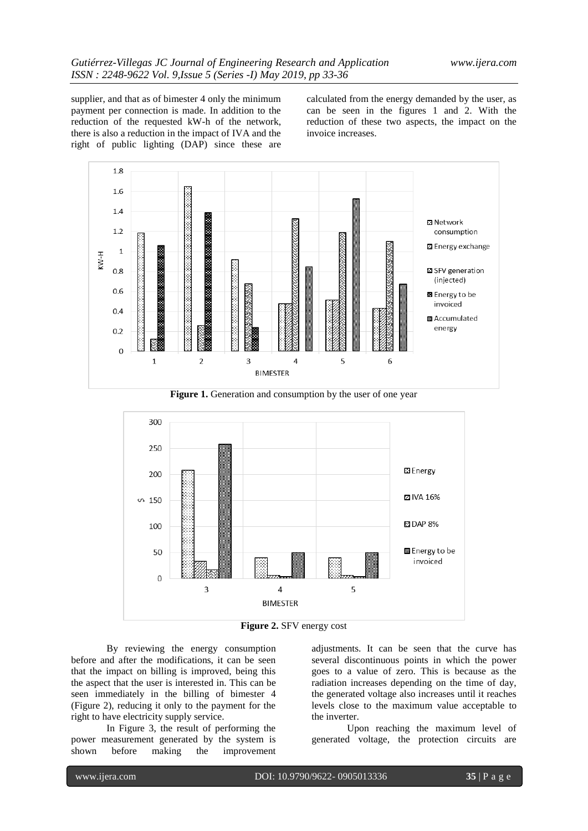supplier, and that as of bimester 4 only the minimum payment per connection is made. In addition to the reduction of the requested kW-h of the network, there is also a reduction in the impact of IVA and the right of public lighting (DAP) since these are calculated from the energy demanded by the user, as can be seen in the figures 1 and 2. With the reduction of these two aspects, the impact on the invoice increases.



Figure 1. Generation and consumption by the user of one year



**Figure 2.** SFV energy cost

By reviewing the energy consumption before and after the modifications, it can be seen that the impact on billing is improved, being this the aspect that the user is interested in. This can be seen immediately in the billing of bimester 4 (Figure 2), reducing it only to the payment for the right to have electricity supply service.

In Figure 3, the result of performing the power measurement generated by the system is shown before making the improvement adjustments. It can be seen that the curve has several discontinuous points in which the power goes to a value of zero. This is because as the radiation increases depending on the time of day, the generated voltage also increases until it reaches levels close to the maximum value acceptable to the inverter.

Upon reaching the maximum level of generated voltage, the protection circuits are